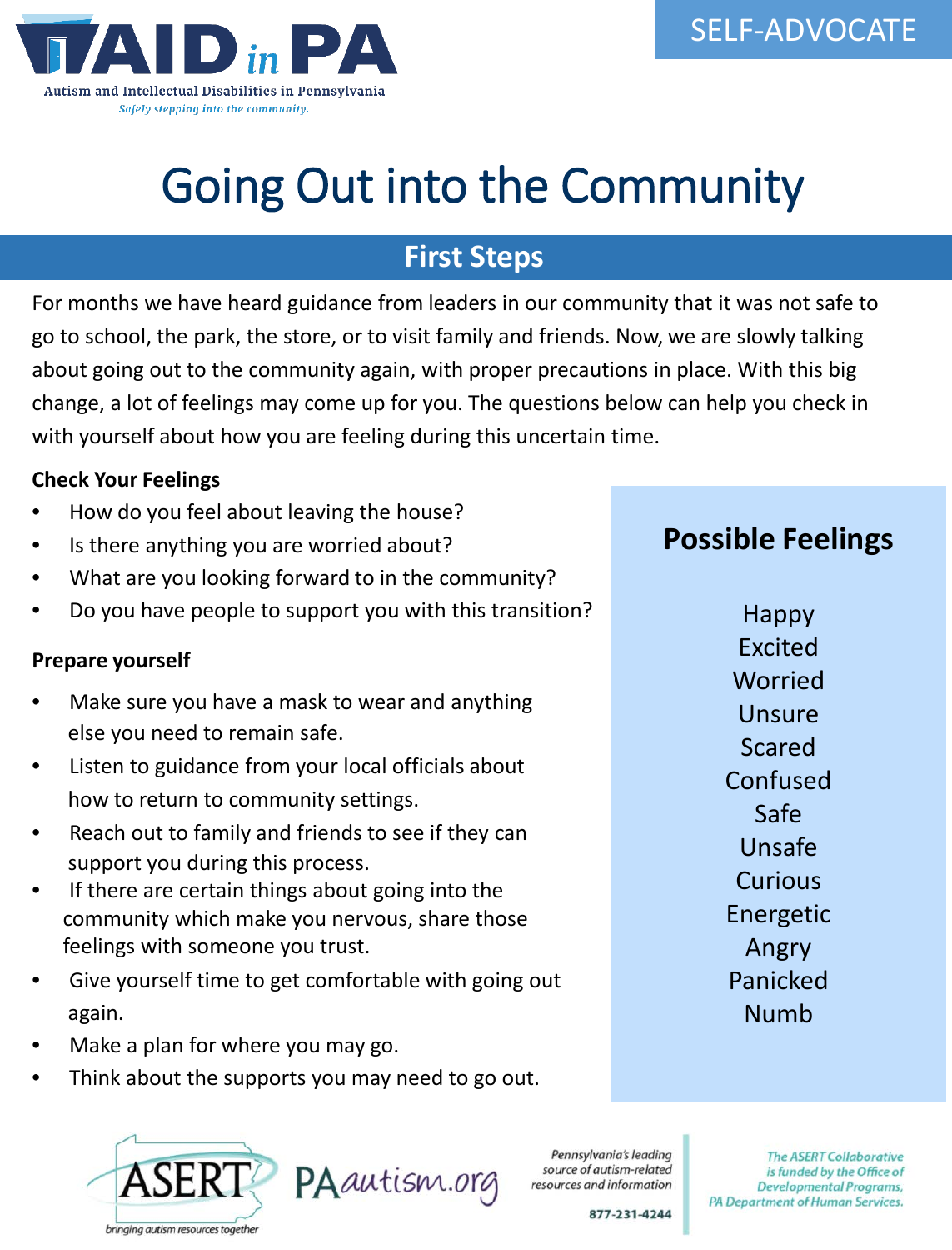

# Going Out into the Community

### **First Steps**

For months we have heard guidance from leaders in our community that it was not safe to go to school, the park, the store, or to visit family and friends. Now, we are slowly talking about going out to the community again, with proper precautions in place. With this big change, a lot of feelings may come up for you. The questions below can help you check in with yourself about how you are feeling during this uncertain time.

#### **Check Your Feelings**

- How do you feel about leaving the house?
- Is there anything you are worried about?
- What are you looking forward to in the community?
- Do you have people to support you with this transition?

#### **Prepare yourself**

- Make sure you have a mask to wear and anything else you need to remain safe.
- Listen to guidance from your local officials about how to return to community settings.
- Reach out to family and friends to see if they can support you during this process.
- If there are certain things about going into the community which make you nervous, share those feelings with someone you trust.
- Give yourself time to get comfortable with going out again.
- Make a plan for where you may go.
- Think about the supports you may need to go out.





Pennsylvania's leading source of autism-related

**The ASERT Collaborative** is funded by the Office of Developmental Programs, PA Department of Human Services.

877-231-4244

**Possible Feelings**

Happy Excited Worried Unsure Scared Confused Safe Unsafe **Curious** Energetic Angry Panicked Numb